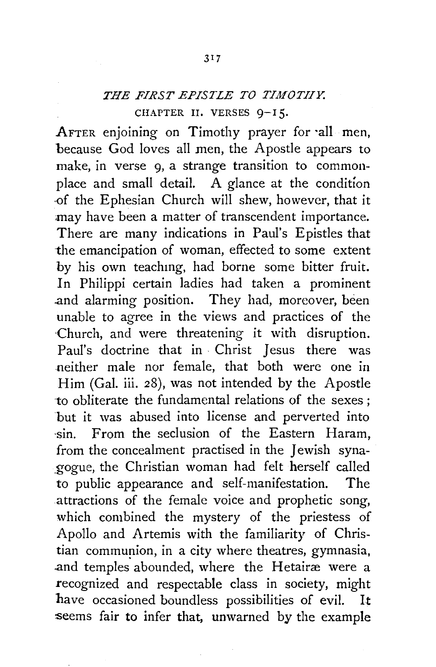## *THE FIRST EPISTLE TO TIMOTHY.*  CHAPTER II. VERSES 9-15.

AFTER enjoining on Timothy prayer for ·all men, because God loves all men, the Apostle appears to make, in verse 9, a strange transition to commonplace and small detail. A glance at the condition ·Of the Ephesian Church will shew, however, that it may have been a matter of transcendent importance. There are many indications in Paul's Epistles that the emancipation of woman, effected to some extent by his own teachmg, had borne some bitter fruit. In Philippi certain ladies had taken a prominent .and alarming position. They had, moreover, been unable to agree in the views and practices of the ·Church, and were threatening it with disruption. Paul's doctrine that in Christ Jesus there was neither male nor female, that both were one in Him (Gal. iii. 28), was not intended by the Apostle ·to obliterate the fundamental relations of the sexes ; but it was abused into license and perverted into ·sin. From the seclusion of the Eastern Haram, from the concealment practised in the Jewish syna- \_gogue, the Christian woman had felt herself called to public appearance and self-manifestation. The attractions of the female voice and prophetic song, which combined the mystery of the priestess of Apollo and Artemis with the familiarity of Christian communion, in a city where theatres, gymnasia, and temples abounded, where the Hetairæ were a recognized and respectable class in society, might have occasioned boundless possibilities of evil. It seems fair to infer that, unwarned by the example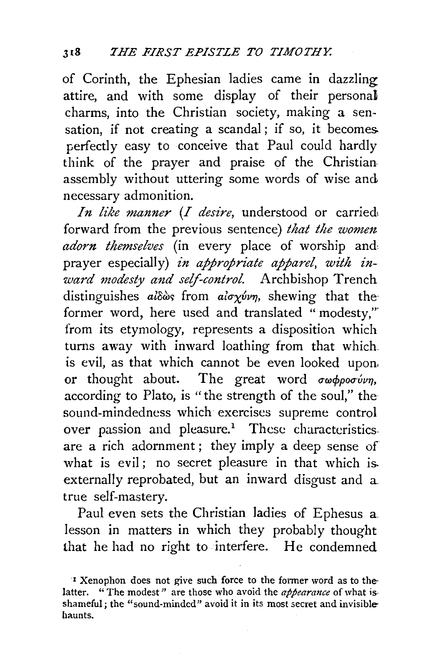of Corinth, the Ephesian ladies came in dazzling attire, and with some display of their personal charms, into the Christian society, making a sensation, if not creating a scandal; if so, it becomes perfectly easy to conceive that Paul could hardly think of the prayer and praise of the Christian assembly without uttering some words of wise and necessary admonition.

*In like manner (I desire,* understood or carried. forward from the previous sentence) *that the women adorn themselves* (in every place of worship and, prayer especially) *in appropriate apparel, with inward modesty and self-control.* Archbishop Trench distinguishes *aldos* from *aloxyvn*, shewing that the former word, here used and translated "modesty," from its etymology, represents a disposition which turns away with inward loathing from that which is evil, as that which cannot be even looked upon. or thought about. The great word  $\sigma \omega \phi \rho o \sigma \omega v \eta$ , according to Plato, is "the strength of the soul," the sound-mindedness which exercises supreme control over passion and pleasure.<sup>1</sup> These characteristics. are a rich adornment ; they imply a deep sense of what is evil; no secret pleasure in that which is. externally reprobated, but an inward disgust and a. true self-mastery.

Paul even sets the Christian ladies of Ephesus a lesson in matters in which they probably thought that he had no right to interfere. He condemned

<sup>&#</sup>x27;l Xenophon does not give such force to the fonner word as to thelatter. "The modest" are those who avoid the *appearance* of what isshameful; the "sound-minded" avoid it in its most secret and invisiblehaunts.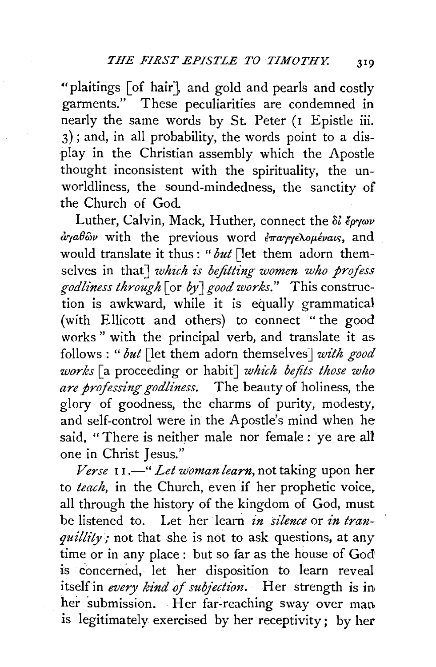"plaitings [of hair], and gold and pearls and costly garments." These peculiarities are condemned in nearly the same words by St. Peter (I Epistle iii. 3); and, in all probability, the words point to a dis- ·play in the Christian assembly which the Apostle thought inconsistent with the spirituality, the unworldliness, the sound-mindedness, the sanctity of the Church of God.

Luther, Calvin, Mack, Huther, connect the  $\delta l \epsilon \partial y \omega \nu$  $\frac{\partial \gamma}{\partial u}$  with the previous word  $\frac{\partial \gamma}{\partial u}$  we have and would translate it thus : *"but* [let them adorn themselves in that] *which is befitting women who profess godliness through* [or *by* J *good works."* This construction is awkward, while it is equally grammatical (with Ellicott and others) to connect "the good works " with the principal verb, and translate it as follows : " *but* [let them adorn themselves J *with good works* [a proceeding or habit] *which befits those who are professing godliness.* The beauty of holiness, the glory of goodness, the charms of purity, modesty, and self-control were in the Apostle's mind when he said, " There is neither male nor female : ye are all one in Christ Jesus."

*Verse* I I.-" *Let woman learn,* not taking upon her to *teach,* in the Church, even if her prophetic voice, all through the history of the kingdom of God, must be listened to. Let her learn *in silence* or *in tranquillity;* not that she is not to ask questions, at any time or in any place : but so far as the house of God is concerned, let her disposition to learn reveal itself in *every kind of subjection*. Her strength is in her submission. Her far-reaching sway over man is legitimately exercised by her receptivity; by her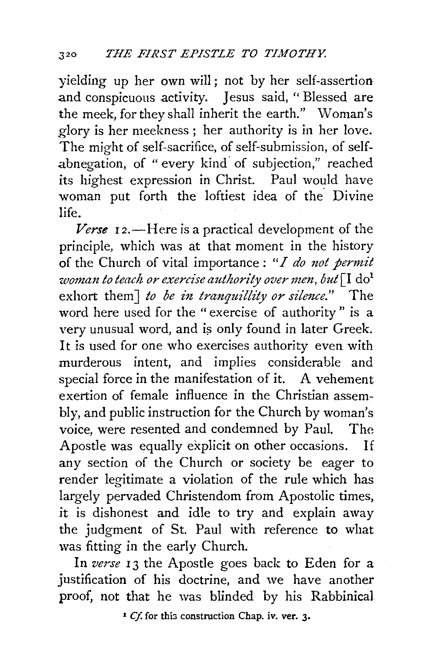yielding up her own will ; not by her self-assertion and conspicuous activity. Jesus said, " Blessed are the meek, for they shall inherit the earth." Woman's glory is her meekness ; her authority is in her love. The might of self-sacrifice, of self-submission, of selfabnegation, of " every kind· of subjection," reached its highest expression in Christ. Paul would have woman put forth the loftiest idea of the Divine life.

Verse 12.—Here is a practical development of the principle, which was at that moment in the history of the Church of vital importance: "*I do not permit ·woman to teach or exercise authority over men, but* [I do<sup>1</sup> exhort them] *to be in tranquillity or silence.*" The word here used for the " exercise of authority " is a very unusual word, and is only found in later Greek. It is used for one who exercises authority even with murderous intent, and implies considerable and special force in the manifestation of it. A vehement exertion of female influence in the Christian assembly, and public instruction for the Church by woman's voice, were resented and condemned by Paul. The Apostle was equally explicit on other occasions. If any section of the Church or society be eager to render legitimate a violation of the rule which has largely pervaded Christendom from Apostolic times, it is dishonest and idle to try and explain away the judgment of St. Paul with reference to what was fitting in the early Church,

In verse 13 the Apostle goes back to Eden for a justification of his doctrine, and we have another proof, not that he was blinded by his Rabbinical

<sup>1</sup> *Cf.* for this construction Chap. iv. ver. 3.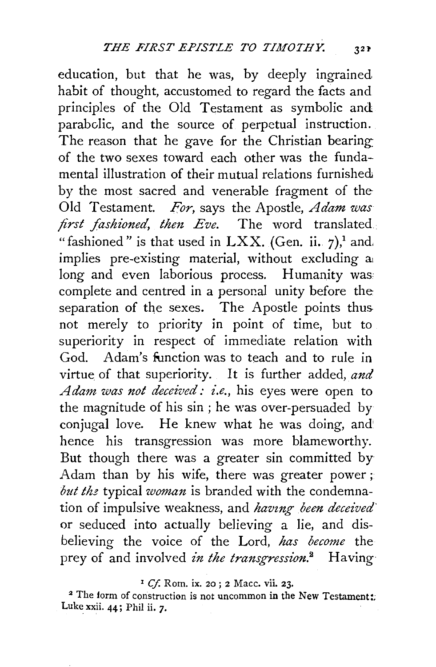education, but that he was, by deeply ingrained habit of thought, accustomed to regard the facts and principles of the Old Testament as symbolic and parabclic, and the source of perpetual instruction. The reason that he gave for the Christian bearing: of the two sexes toward each other was the fundamental illustration of their mutual relations furnished by the most sacred and venerable fragment of the Old Testament. *For,* says the Apostle, *Adam was first fashioned, then Eve.* The word translated. "fashioned" is that used in LXX. (Gen. ii.  $7$ ),<sup>1</sup> and, implies pre-existing material, without excluding a: long and even laborious process. Humanity was complete and centred in a personal unity before the separation of the sexes. The Apostle points thus not merely to priority in point of time, but to superiority in respect of immediate relation with God. Adam's function was to teach and to rule in virtue of that superiority. It is further added, *and A dam was not deceived: i.e.,* his eyes were open to the magnitude of his sin ; he was over-persuaded by conjugal love. He knew what he was doing, and' hence his transgression was more blameworthy. But though there was a greater sin committed by Adam than by his wife, there was greater power; *but the* typical *woman* is branded with the condemnation of impulsive weakness, and *having been deceived* or seduced into actually believing a lie, and disbelieving the voice of the Lord, *has become* the prey of and involved *in the transgression*.<sup>2</sup> Having

<sup>1</sup> Cf. Rom. ix. 20; 2 Macc. vii. 23.

<sup>2</sup> The form of construction is not uncommon in the New Testament: Luke xxii. 44; Phil ii. *7·*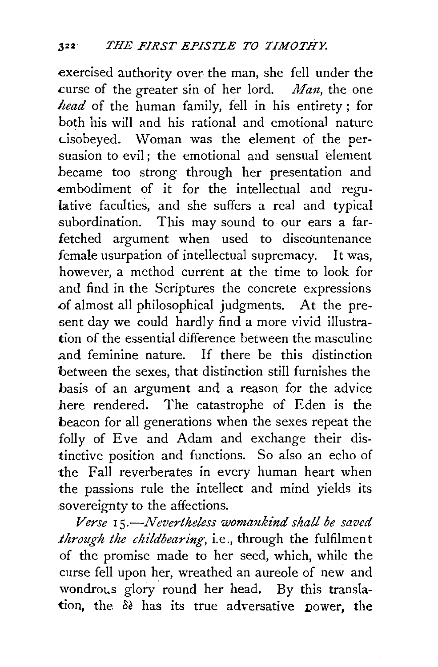.exercised authority over the man, she fell under the curse of the greater sin of her lord. *Man*, the one *head* of the human family, fell in his entirety ; for both his will and his rational and emotional nature Lisobeyed. Woman was the element of the persuasion to evil; the emotional and sensual element .became too strong through her presentation and embodiment of it for the intellectual and regulative faculties, and she suffers a real and typical subordination. This may sound to our ears a farfetched argument when used to discountenance female usurpation of intellectual supremacy. It was, however, a method current at the time to look for and find in the Scriptures the concrete expressions .of almost all philosophical judgments. At the present day we could hardly find a more vivid illustration of the essential difference between the masculine and feminine nature. If there be this distinction between the sexes, that distinction still furnishes the basis of an argument and a reason for the advice here rendered. The catastrophe of Eden is the beacon for all generations when the sexes repeat the folly of Eve and Adam and exchange their distinctive position and functions. So also an echo of the Fall reverberates in every human heart when the passions rule the intellect and mind yields its sovereignty to the affections.

*Verse* 1 *s.-Nevertheless womankind shall be saved through the childbearing,* i.e., through the fulfilment of the promise made to her seed, which, while the curse fell upon her, wreathed an aureole of new and wondrous glory round her head. By this translation, the  $\delta \epsilon$  has its true adversative power, the